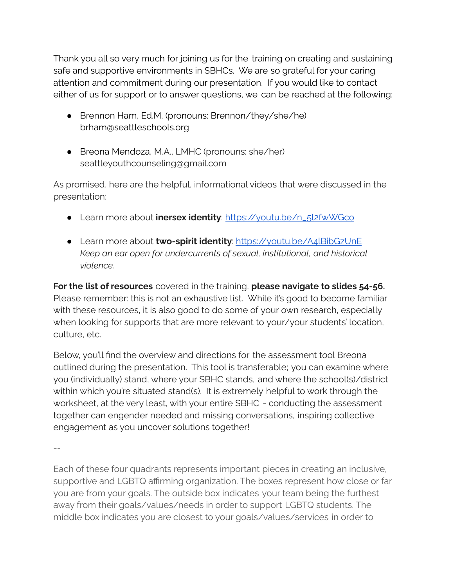Thank you all so very much for joining us for the training on creating and sustaining safe and supportive environments in SBHCs. We are so grateful for your caring attention and commitment during our presentation. If you would like to contact either of us for support or to answer questions, we can be reached at the following:

- Brennon Ham, Ed.M. (pronouns: Brennon/they/she/he) brham@seattleschools.org
- Breona Mendoza, M.A., LMHC (pronouns: she/her) seattleyouthcounseling@gmail.com

As promised, here are the helpful, informational videos that were discussed in the presentation:

- Learn more about **inersex identity**: [https://youtu.be/n\\_5l2fwWGco](https://youtu.be/n_5l2fwWGco)
- Learn more about **two-spirit identity**: <https://youtu.be/A4lBibGzUnE> *Keep an ear open for undercurrents of sexual, institutional, and historical violence.*

**For the list of resources** covered in the training, **please navigate to slides 54-56.** Please remember: this is not an exhaustive list. While it's good to become familiar with these resources, it is also good to do some of your own research, especially when looking for supports that are more relevant to your/your students' location, culture, etc.

Below, you'll find the overview and directions for the assessment tool Breona outlined during the presentation. This tool is transferable; you can examine where you (individually) stand, where your SBHC stands, and where the school(s)/district within which you're situated stand(s). It is extremely helpful to work through the worksheet, at the very least, with your entire SBHC - conducting the assessment together can engender needed and missing conversations, inspiring collective engagement as you uncover solutions together!

--

Each of these four quadrants represents important pieces in creating an inclusive, supportive and LGBTQ affirming organization. The boxes represent how close or far you are from your goals. The outside box indicates your team being the furthest away from their goals/values/needs in order to support LGBTQ students. The middle box indicates you are closest to your goals/values/services in order to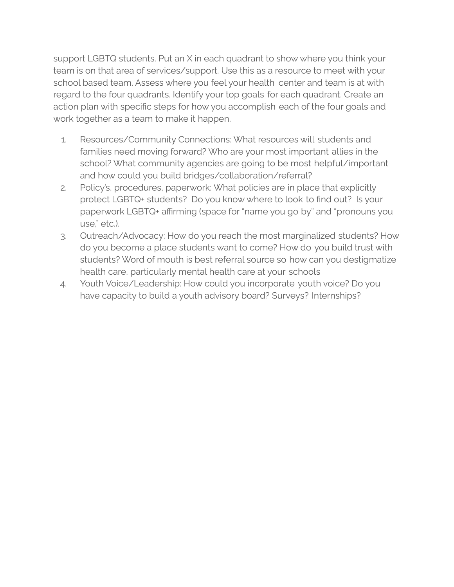support LGBTQ students. Put an X in each quadrant to show where you think your team is on that area of services/support. Use this as a resource to meet with your school based team. Assess where you feel your health center and team is at with regard to the four quadrants. Identify your top goals for each quadrant. Create an action plan with specific steps for how you accomplish each of the four goals and work together as a team to make it happen.

- 1. Resources/Community Connections: What resources will students and families need moving forward? Who are your most important allies in the school? What community agencies are going to be most helpful/important and how could you build bridges/collaboration/referral?
- 2. Policy's, procedures, paperwork: What policies are in place that explicitly protect LGBTQ+ students? Do you know where to look to find out? Is your paperwork LGBTQ+ affirming (space for "name you go by" and "pronouns you use," etc.).
- 3. Outreach/Advocacy: How do you reach the most marginalized students? How do you become a place students want to come? How do you build trust with students? Word of mouth is best referral source so how can you destigmatize health care, particularly mental health care at your schools
- 4. Youth Voice/Leadership: How could you incorporate youth voice? Do you have capacity to build a youth advisory board? Surveys? Internships?